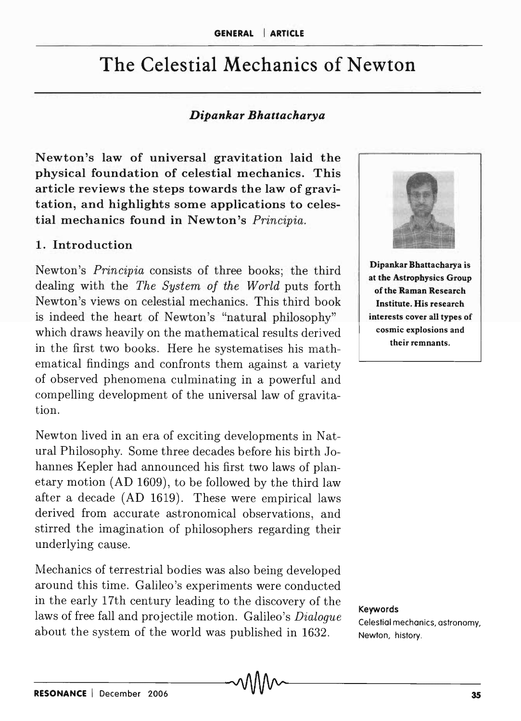# The Celestial Mechanics of Newton

#### *Dipankar Bhattacharya*

Newton's law of universal gravitation laid the physical foundation of celestial mechanics. This article reviews the steps towards the law of gravitation, and highlights some applications to celestial mechanics found in Newton's *Principia.* 

#### 1. Introduction

Newton's *Principia* consists of three books; the third dealing with the *The System of the World* puts forth Newton's views on celestial mechanics. This third book is indeed the heart of Newton's "natural philosophy" which draws heavily on the mathematical results derived in the first two books. Here he systematises his mathematical findings and confronts them against a variety of observed phenomena culminating in a powerful and compelling development of the universal law of gravitation.

Newton lived in an era of exciting developments in Natural Philosophy. Some three decades before his birth Johannes Kepler had announced his first two laws of planetary motion (AD 1609), to be followed by the third law after a decade (AD 1619). These were empirical laws derived from accurate astronomical observations, and stirred the imagination of philosophers regarding their underlying cause.

Mechanics of terrestrial bodies was also being developed around this time. Galileo's experiments were conducted in the early 17th century leading to the discovery of the laws of free fall and projectile motion. Galileo's *Dialogue*  about the system of the world was published in 1632.



Dipankar Bhattacharya is at the Astrophysics Group of the Raman Research Institute. His research interests cover all types of cosmic explosions and their remnants.

Keywords Celestial mechanics, astronomy, Newton, history.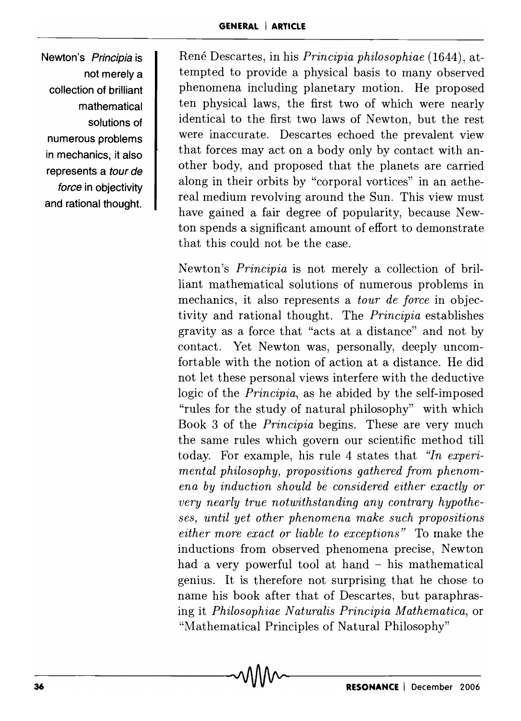**Newton's Principia is not merely a collection of brilliant mathematical solutions of numerous problems in mechanics, it also represents a tour de force in objectivity and rational thought.** 

Rene Descartes, in his *Principia philosophiae* (1644), attempted to provide a physical basis to many observed phenomena including planetary motion. He proposed ten physical laws, the first two of which were nearly identical to the first two laws of Newton, but the rest were inaccurate. Descartes echoed the prevalent view that forces may act on a body only by contact with another body, and proposed that the planets are carried along in their orbits by "corporal vortices" in an aethereal medium revolving around the Sun. This view must have gained a fair degree of popularity, because Newton spends a significant amount of effort to demonstrate that this could not be the case.

Newton's *Principia* is not merely a collection of brilliant mathematical solutions of numerous problems in mechanics, it also represents a *tour de force* in objectivity and rational thought. The *Principia* establishes gravity as a force that "acts at a distance" and not by contact. Yet Newton was, personally, deeply uncomfortable with the notion of action at a distance. He did not let these personal views interfere with the deductive logic of the *Principia,* as he abided by the self-imposed "rules for the study of natural philosophy" with which Book 3 of the *Principia* begins. These are very much the same rules which govern our scientific method till today. For example, his rule 4 states that *"In experimental philosophy, propositions gathered from phenomena by induction should be considered either exactly or very nearly true notwithstanding any contrary hypotheses, until yet other phenomena make such propositions either more exact or liable to exceptions"* To make the inductions from observed phenomena precise, Newton had a very powerful tool at hand - his mathematical genius. It is therefore not surprising that he chose to name his book after that of Descartes, but paraphrasing it *Philosophiae N aturalis Principia M athematica,* or "Mathematical Principles of Natural Philosophy"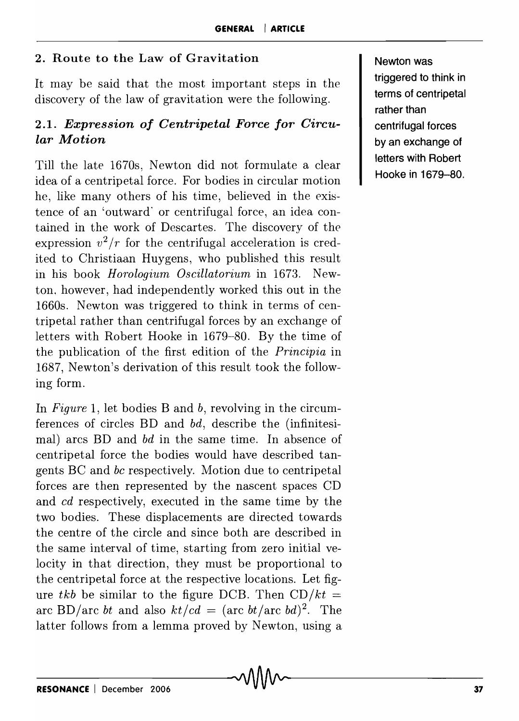#### 2. Route to the Law of Gravitation

It may be said that the most important steps in the discovery of the law of gravitation were the following.

### *2.1. Expression of Centripetal Force for Circular Motion*

Till the late 1670s, Newton did not formulate a clear idea of a centripetal force. For bodies in circular motion he, like many others of his time, believed in the existence of an 'outward' or centrifugal force, an idea contained in the work of Descartes. The discovery of the expression  $v^2/r$  for the centrifugal acceleration is credited to Christiaan Huygens, who published this result in his book *Horologium Oscillatorium* in 1673. Newton, however, had independently worked this out in the 1660s. Newton was triggered to think in terms of centripetal rather than centrifugal forces by an exchange of letters with Robert Hooke in 1679-80. By the time of the publication of the first edition of the *Principia* in 1687, Newton's derivation of this result took the following form.

In *Figure* 1, let bodies Band *b,* revolving in the circumferences of circles BD and *bd,* describe the (infinitesimal) arcs BD and *bd* in the same time. In absence of centripetal force the bodies would have described tangents BC and *be* respectively. Motion due to centripetal forces are then represented by the nascent spaces CD and *cd* respectively, executed in the same time by the two bodies. These displacements are directed towards the centre of the circle and since both are described in the same interval of time, starting from zero initial velocity in that direction, they must be proportional to the centripetal force at the respective locations. Let figure *tkb* be similar to the figure DCB. Then  $CD/kt =$ arc BD/arc *bt* and also  $kt/cd = (arc \, bt / arc \, bd)^2$ . The latter follows from a lemma proved by Newton, using a

Newton was triggered to think in terms of centripetal rather than centrifugal forces by an exchange of letters with Robert Hooke in 1679-80.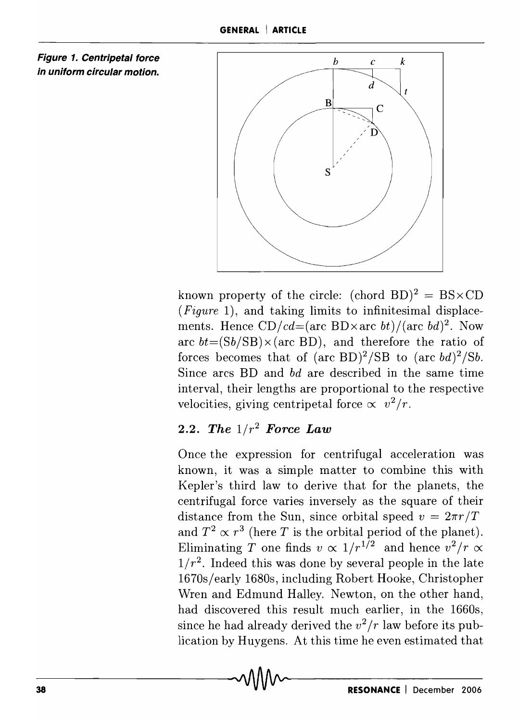



known property of the circle:  $(chord BD)^2 = BS \times CD$ *(Figure* 1), and taking limits to infinitesimal displacements. Hence  $CD/cd = (arc BD \times arc \t{bt})/(arc \t{bd})^2$ . Now arc  $bt = (Sb/SB) \times (arc BD)$ , and therefore the ratio of forces becomes that of  $(\text{arc BD})^2/\text{SB}$  to  $(\text{arc bd})^2/\text{S}b$ . Since arcs BD and *bd* are described in the same time interval, their lengths are proportional to the respective velocities, giving centripetal force  $\propto v^2/r$ .

## *2.2. The 1/r2 Force Law*

Once the expression for centrifugal acceleration was known, it was a simple matter to combine this with Kepler's third law to derive that for the planets, the centrifugal force varies inversely as the square of their distance from the Sun, since orbital speed  $v = 2\pi r/T$ and  $T^2 \propto r^3$  (here *T* is the orbital period of the planet). Eliminating *T* one finds  $v \propto 1/r^{1/2}$  and hence  $v^2/r \propto$  $1/r^2$ . Indeed this was done by several people in the late 1670s/early 1680s, including Robert Hooke, Christopher Wren and Edmund Halley. Newton, on the other hand, had discovered this result much earlier, in the 1660s, since he had already derived the  $v^2/r$  law before its publication by Huygens. At this time he even estimated that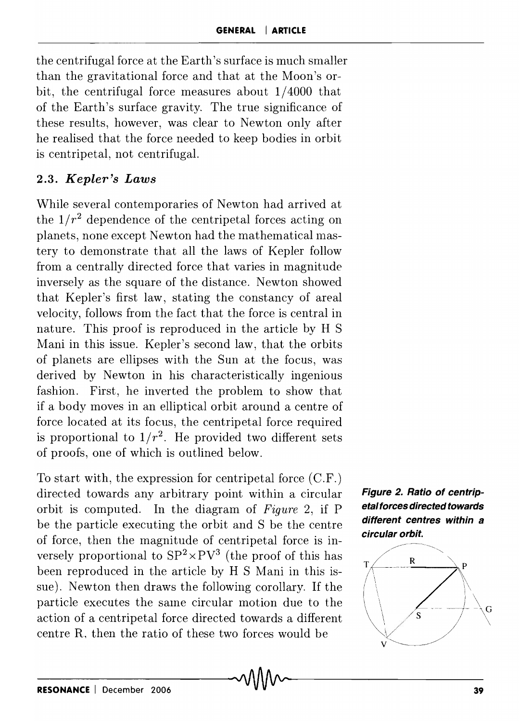the centrifugal force at the Earth's surface is much smaller than the gravitational force and that at the Moon's orbit, the centrifugal force measures about 1/4000 that of the Earth's surface gravity. The true significance of these results, however, was clear to Newton only after he realised that the force needed to keep bodies in orbit is centripetal, not centrifugal.

## *2.3. Kepler's Laws*

While several contemporaries of Newton had arrived at the  $1/r^2$  dependence of the centripetal forces acting on planets, none except Newton had the mathematical mastery to demonstrate that all the laws of Kepler follow from a centrally directed force that varies in magnitude inversely as the square of the distance. Newton showed that Kepler's first law, stating the constancy of areal velocity, follows from the fact that the force is central in nature. This proof is reproduced in the article by H S Mani in this issue. Kepler's second law, that the orbits of planets are ellipses with the Sun at the focus, was derived by Newton in his characteristically ingenious fashion. First, he inverted the problem to show that if a body moves in an elliptical orbit around a centre of force located at its focus, the centripetal force required is proportional to  $1/r^2$ . He provided two different sets of proofs, one of which is outlined below.

To start with, the expression for centripetal force (C.F.) directed towards any arbitrary point within a circular orbit is computed. In the diagram of *Figure* 2, if P be the particle executing the orbit and S be the centre of force, then the magnitude of centripetal force is inversely proportional to  $SP^2 \times PV^3$  (the proof of this has been reproduced in the article by H S Mani in this issue). Newton then draws the following corollary. If the particle executes the sarne circular motion due to the action of a centripetal force directed towards a different centre R, then the ratio of these two forces would be



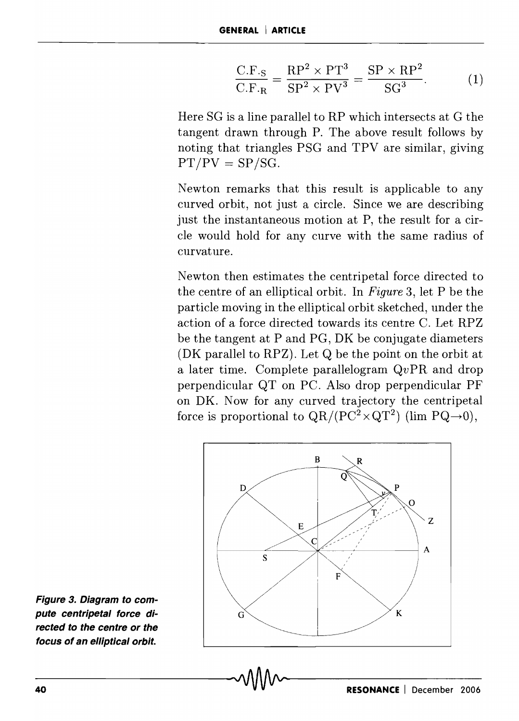$$
\frac{\text{C.F.}_S}{\text{C.F.}_R} = \frac{\text{RP}^2 \times \text{PT}^3}{\text{SP}^2 \times \text{PV}^3} = \frac{\text{SP} \times \text{RP}^2}{\text{SG}^3}.
$$
 (1)

Here SG is a line parallel to RP which intersects at G the tangent drawn through P. The above result follows by noting that triangles PSG and TPV are similar, giving  $PT/PV = SP/SG.$ 

Newton remarks that this result is applicable to any curved orbit, not just a circle. Since we are describing just the instantaneous motion at P, the result for a circle would hold for any curve with the same radius of curvature.

Newton then estimates the centripetal force directed to the centre of an elliptical orbit. In *Figure* 3, let P be the particle moving in the elliptical orbit sketched, under the action of a force directed towards its centre C. Let RPZ be the tangent at P and PG, DK be conjugate diameters (DK parallel to RPZ). Let Q be the point on the orbit at a later time. Complete parallelogram  $QvPR$  and drop perpendicular QT on PC. Also drop perpendicular PF on DK. Now for any curved trajectory the centripetal force is proportional to  $QR/(PC^2 \times QT^2)$  (lim  $PQ\rightarrow 0$ ),



**Figure 3. Diagram to compute centripetal force directed to the centre or the focus of an elliptical orbit.**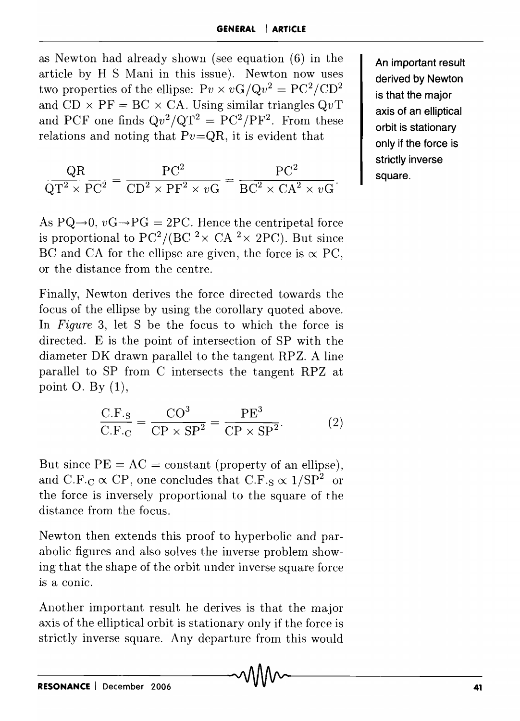as Newton had already shown (see equation (6) in the article by H S Mani in this issue). Newton now uses two properties of the ellipse:  $Pv \times vG/Qv^2 = PC^2/CD^2$ and  $CD \times PF = BC \times CA$ . Using similar triangles  $QvT$ and PCF one finds  $Qv^2/QT^2 = PC^2/PF^2$ . From these relations and noting that  $Pv=QR$ , it is evident that

$$
\frac{\text{QR}}{\text{QT}^2 \times \text{PC}^2} = \frac{\text{PC}^2}{\text{CD}^2 \times \text{PF}^2 \times v\text{G}} = \frac{\text{PC}^2}{\text{BC}^2 \times \text{CA}^2 \times v\text{G}}.
$$

As  $PQ\rightarrow 0$ ,  $vG\rightarrow PG = 2PC$ . Hence the centripetal force is proportional to PC<sup>2</sup>/(BC <sup>2</sup> × CA <sup>2</sup> × 2PC). But since BC and CA for the ellipse are given, the force is  $\propto$  PC, or the distance from the centre.

Finally, Newton derives the force directed towards the focus of the ellipse by using the corollary quoted above. In *Figure* 3, let S be the focus to which the force is directed. E is the point of intersection of SP with the diameter DK drawn parallel to the tangent RPZ. A line parallel to SP from C intersects the tangent RPZ at point O. By  $(1)$ ,

$$
\frac{\text{C.F.}_S}{\text{C.F.}_C} = \frac{\text{CO}^3}{\text{CP} \times \text{SP}^2} = \frac{\text{PE}^3}{\text{CP} \times \text{SP}^2}.
$$
 (2)

But since  $PE = AC = constant$  (property of an ellipse), and C.F.<sub>C</sub>  $\propto$  CP, one concludes that C.F.<sub>S</sub>  $\propto$  1/SP<sup>2</sup> or the force is inversely proportional to the square of the distance from the focus.

Newton then extends this proof to hyperbolic and parabolic figures and also solves the inverse problem showing that the shape of the orbit under inverse square force is a conic.

Another important result he derives is that the major axis of the elliptical orbit is stationary only if the force is strictly inverse square. Any departure from this would

An important result derived by Newton is that the major axis of an elliptical orbit is stationary only if the force is strictly inverse square.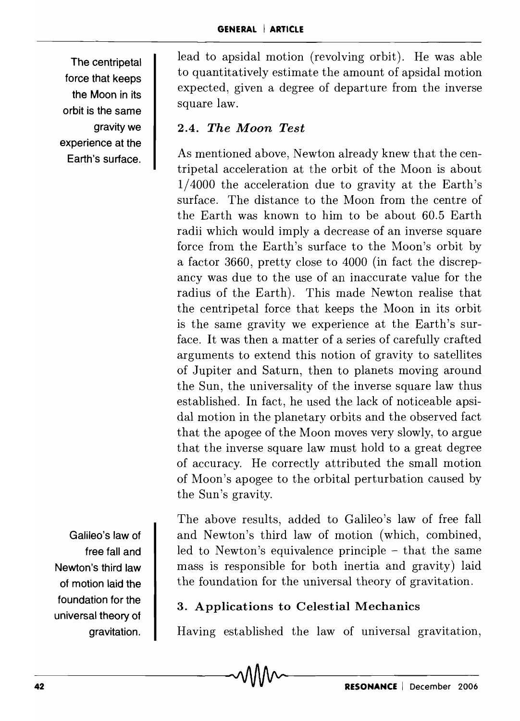The centripetal force that keeps the Moon in its orbit is the same gravity we experience at the Earth's surface.

lead to apsidal motion (revolving orbit). He was able to quantitatively estimate the amount of apsidal motion expected, given a degree of departure from the inverse square law.

## 2.4. *The Moon Test*

As mentioned above, Newton already knew that the centripetal acceleration at the orbit of the Moon is about 1/4000 the acceleration due to gravity at the Earth's surface. The distance to the Moon from the centre of the Earth was known to him to be about 60.5 Earth radii which would imply a decrease of an inverse square force from the Earth's surface to the Moon's orbit by a factor 3660, pretty close to 4000 (in fact the discrepancy was due to the use of an inaccurate value for the radius of the Earth). This made Newton realise that the centripetal force that keeps the Moon in its orbit is the same gravity we experience at the Earth's surface. It was then a matter of a series of carefully crafted arguments to extend this notion of gravity to satellites of Jupiter and Saturn, then to planets moving around the Sun, the universality of the inverse square law thus established. In fact, he used the lack of noticeable apsidal motion in the planetary orbits and the observed fact that the apogee of the Moon moves very slowly, to argue that the inverse square law must hold to a great degree of accuracy. He correctly attributed the small motion of Moon's apogee to the orbital perturbation caused by the Sun's gravity.

Galileo's law of free fall and Newton's third law of motion laid the foundation for the universal theory of gravitation.

The above results, added to Galileo's law of free fall and Newton's third law of motion (which, combined, led to Newton's equivalence principle - that the same mass is responsible for both inertia and gravity) laid the foundation for the universal theory of gravitation.

## 3. Applications to Celestial Mechanics

Having established the law of universal gravitation,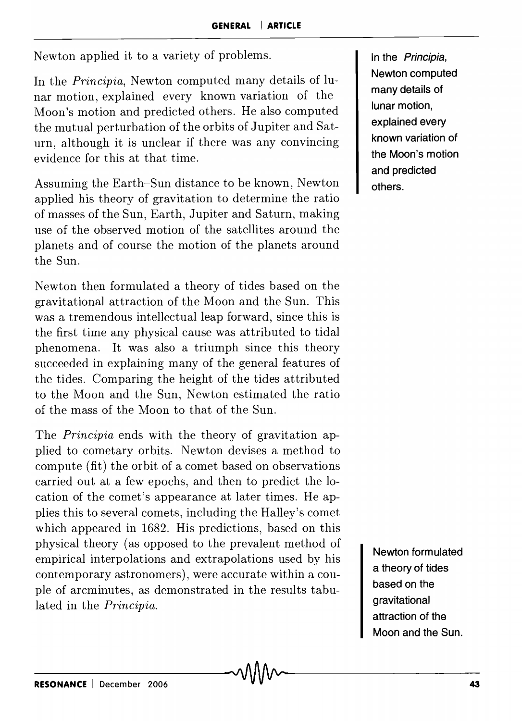Newton applied it to a variety of problems.

In the *Principia,* Newton computed many details of lunar motion, explained every known variation of the Moon's motion and predicted others. He also computed the mutual perturbation of the orbits of Jupiter and Saturn, although it is unclear if there was any convincing evidence for this at that time.

Assuming the Earth-Sun distance to be known, Newton applied his theory of gravitation to determine the ratio of masses of the Sun, Earth, Jupiter and Saturn, making use of the observed motion of the satellites around the planets and of course the motion of the planets around the Sun.

Newton then formulated a theory of tides based on the gravitational attraction of the Moon and the Sun. This was a tremendous intellectual leap forward, since this is the first time any physical cause was attributed to tidal phenomena. It was also a triumph since this theory succeeded in explaining many of the general features of the tides. Comparing the height of the tides attributed to the Moon and the Sun, Newton estimated the ratio of the mass of the Moon to that of the Sun.

The *Principia* ends with the theory of gravitation applied to cometary orbits. Newton devises a method to compute (fit) the orbit of a comet based on observations carried out at a few epochs, and then to predict the location of the comet's appearance at later times. He applies this to several comets, including the Halley's comet which appeared in 1682. His predictions, based on this physical theory (as opposed to the prevalent method of empirical interpolations and extrapolations used by his contemporary astronomers), were accurate within a couple of arcminutes, as demonstrated in the results tabulated in the *Principia.* 

**In the Principia, Newton computed many details of lunar motion, explained every known variation of the Moon's motion and predicted others.** 

**Newton formulated a theory of tides based on the gravitational attraction of the Moon and the Sun.**